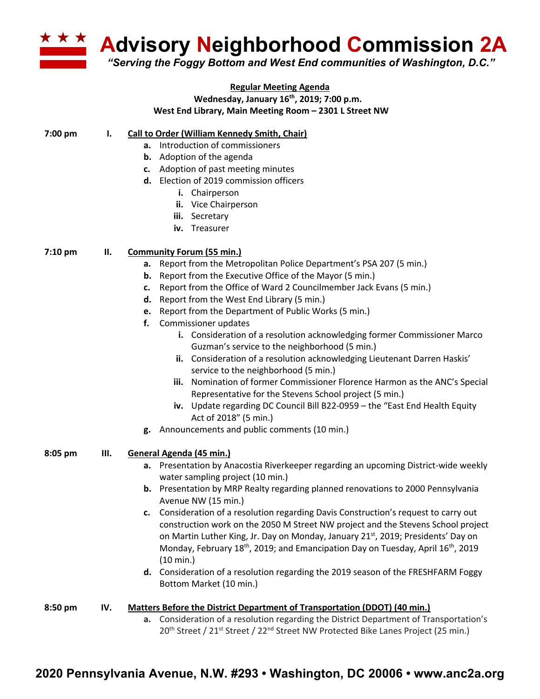

## **Regular Meeting Agenda Wednesday, January 16th, 2019; 7:00 p.m. West End Library, Main Meeting Room – 2301 L Street NW**

## **7:00 pm I. Call to Order (William Kennedy Smith, Chair)**

- **a.** Introduction of commissioners
- **b.** Adoption of the agenda
- **c.** Adoption of past meeting minutes
- **d.** Election of 2019 commission officers
	- **i.** Chairperson
	- **ii.** Vice Chairperson
	- **iii.** Secretary
	- **iv.** Treasurer

## **7:10 pm II. Community Forum (55 min.)**

- **a.** Report from the Metropolitan Police Department's PSA 207 (5 min.)
- **b.** Report from the Executive Office of the Mayor (5 min.)
- **c.** Report from the Office of Ward 2 Councilmember Jack Evans (5 min.)
- **d.** Report from the West End Library (5 min.)
- **e.** Report from the Department of Public Works (5 min.)
- **f.** Commissioner updates
	- **i.** Consideration of a resolution acknowledging former Commissioner Marco Guzman's service to the neighborhood (5 min.)
	- **ii.** Consideration of a resolution acknowledging Lieutenant Darren Haskis' service to the neighborhood (5 min.)
	- **iii.** Nomination of former Commissioner Florence Harmon as the ANC's Special Representative for the Stevens School project (5 min.)
	- **iv.** Update regarding DC Council Bill B22-0959 the "East End Health Equity Act of 2018" (5 min.)
- **g.** Announcements and public comments (10 min.)
- **III. General Agenda (45 min.)**
	- **a.** Presentation by Anacostia Riverkeeper regarding an upcoming District-wide weekly water sampling project (10 min.)
	- **b.** Presentation by MRP Realty regarding planned renovations to 2000 Pennsylvania Avenue NW (15 min.)
	- **c.** Consideration of a resolution regarding Davis Construction's request to carry out construction work on the 2050 M Street NW project and the Stevens School project on Martin Luther King, Jr. Day on Monday, January 21<sup>st</sup>, 2019; Presidents' Day on Monday, February 18<sup>th</sup>, 2019; and Emancipation Day on Tuesday, April 16<sup>th</sup>, 2019 (10 min.)
	- **d.** Consideration of a resolution regarding the 2019 season of the FRESHFARM Foggy Bottom Market (10 min.)

## **8:50 pm IV. Matters Before the District Department of Transportation (DDOT) (40 min.)**

**a.** Consideration of a resolution regarding the District Department of Transportation's 20<sup>th</sup> Street / 21<sup>st</sup> Street / 22<sup>nd</sup> Street NW Protected Bike Lanes Project (25 min.)

**8:05 pm**